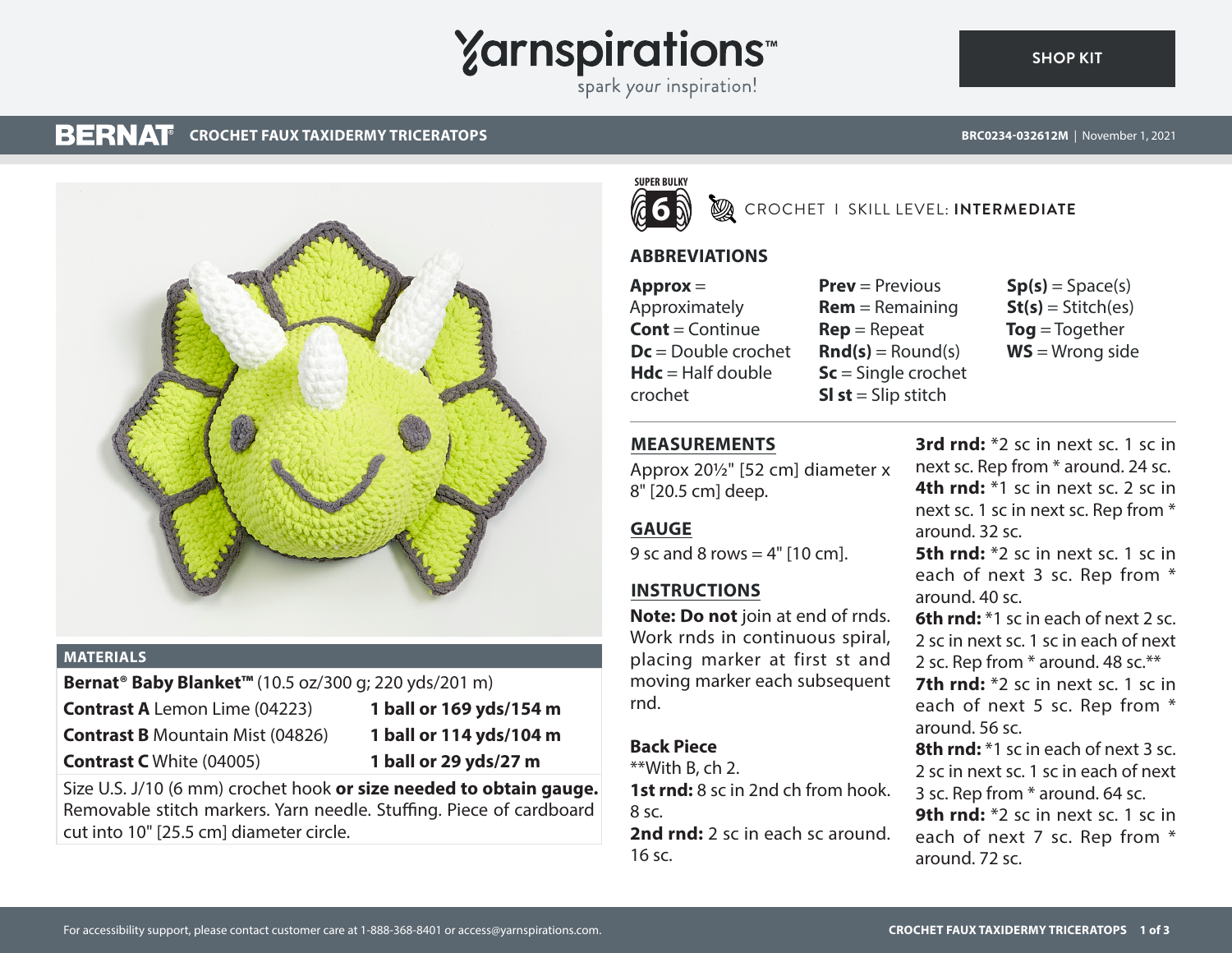# **Yarnspirations**

spark your inspiration!

#### **BERNAT CROCHET FAUX TAXIDERMY TRICERATOPS**

**[SHOP KIT](https://www.yarnspirations.com/BRC0234-032612M.html#utm_source=pdf-yarnspirations&utm_medium=referral)**



### **MATERIALS**

## **Bernat® Baby Blanket™** (10.5 oz/300 g; 220 yds/201 m)

**Contrast A** Lemon Lime (04223) **1 ball or 169 yds/154 m** 

**Contrast B** Mountain Mist (04826) **1 ball or 114 yds/104 m** 

- -
- **Contrast C** White (04005) **1 ball or 29 yds/27 m**

Size U.S. J/10 (6 mm) crochet hook **or size needed to obtain gauge.** Removable stitch markers. Yarn needle. Stuffing. Piece of cardboard cut into 10" [25.5 cm] diameter circle.



**EXAMPLE IT SKILL LEVEL: INTERMEDIATE** 

## **ABBREVIATIONS**

**Approx** = Approximately **Cont** = Continue **Dc** = Double crochet **Hdc** = Half double crochet

**Prev** = Previous **Rem** = Remaining **Rep** = Repeat  $\mathbf{Rnd}(s) = \text{Round}(s)$ **Sc** = Single crochet **Sl st** = Slip stitch

 $Sp(s) = Space(s)$  $St(s) = Stitch(es)$ **Tog** = Together **WS** = Wrong side

## **MEASUREMENTS**

Approx 20½" [52 cm] diameter x 8" [20.5 cm] deep.

## **GAUGE**

9 sc and 8 rows =  $4"$  [10 cm].

## **INSTRUCTIONS**

**Note: Do not** join at end of rnds. Work rnds in continuous spiral, placing marker at first st and moving marker each subsequent rnd.

## **Back Piece**

 $*$ With B, ch 2. **1st rnd:** 8 sc in 2nd ch from hook. 8 sc.

**2nd rnd:** 2 sc in each sc around. 16 sc.

**3rd rnd:** \*2 sc in next sc. 1 sc in next sc. Rep from \* around. 24 sc. **4th rnd:** \*1 sc in next sc. 2 sc in next sc. 1 sc in next sc. Rep from \* around. 32 sc.

**5th rnd:** \*2 sc in next sc. 1 sc in each of next 3 sc. Rep from \* around. 40 sc.

**6th rnd:** \*1 sc in each of next 2 sc. 2 sc in next sc. 1 sc in each of next 2 sc. Rep from \* around. 48 sc.\*\*

**7th rnd:** \*2 sc in next sc. 1 sc in each of next 5 sc. Rep from \* around. 56 sc.

**8th rnd:** \*1 sc in each of next 3 sc. 2 sc in next sc. 1 sc in each of next 3 sc. Rep from \* around. 64 sc. **9th rnd:** \*2 sc in next sc. 1 sc in each of next 7 sc. Rep from \* around. 72 sc.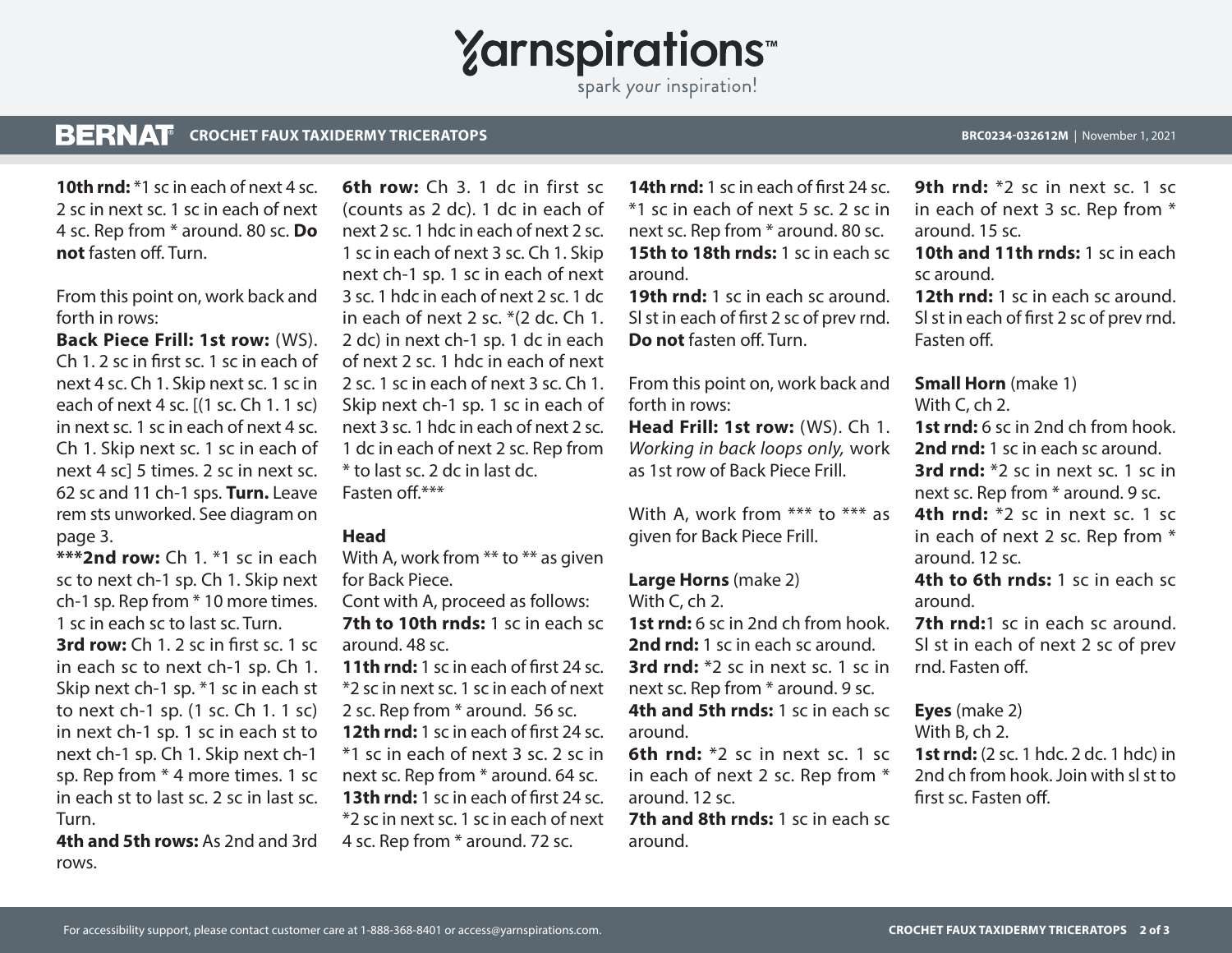## **Yarnspirations**

spark your inspiration!

### **BERNAT CROCHET FAUX TAXIDERMY TRICERATOPS BRC0234-032612M** | November 1, 2021

**10th rnd:** \*1 sc in each of next 4 sc. 2 sc in next sc. 1 sc in each of next 4 sc. Rep from \* around. 80 sc. **Do not** fasten off. Turn.

From this point on, work back and forth in rows:

**Back Piece Frill: 1st row:** (WS). Ch 1. 2 sc in first sc. 1 sc in each of next 4 sc. Ch 1. Skip next sc. 1 sc in each of next 4 sc. [(1 sc. Ch 1. 1 sc) in next sc. 1 sc in each of next 4 sc. Ch 1. Skip next sc. 1 sc in each of next 4 sc] 5 times. 2 sc in next sc. 62 sc and 11 ch-1 sps. **Turn.** Leave rem sts unworked. See diagram on page 3.

**\*\*\*2nd row:** Ch 1. \*1 sc in each sc to next ch-1 sp. Ch 1. Skip next ch-1 sp. Rep from \* 10 more times. 1 sc in each sc to last sc. Turn. **3rd row:** Ch 1. 2 sc in first sc. 1 sc in each sc to next ch-1 sp. Ch 1. Skip next ch-1 sp. \*1 sc in each st to next ch-1 sp. (1 sc. Ch 1. 1 sc) in next ch-1 sp. 1 sc in each st to next ch-1 sp. Ch 1. Skip next ch-1 sp. Rep from \* 4 more times. 1 sc in each st to last sc. 2 sc in last sc. Turn.

**4th and 5th rows:** As 2nd and 3rd rows.

**6th row:** Ch 3. 1 dc in first sc (counts as 2 dc). 1 dc in each of next 2 sc. 1 hdc in each of next 2 sc. 1 sc in each of next 3 sc. Ch 1. Skip next ch-1 sp. 1 sc in each of next 3 sc. 1 hdc in each of next 2 sc. 1 dc in each of next 2 sc. \*(2 dc. Ch 1. 2 dc) in next ch-1 sp. 1 dc in each of next 2 sc. 1 hdc in each of next 2 sc. 1 sc in each of next 3 sc. Ch 1. Skip next ch-1 sp. 1 sc in each of next 3 sc. 1 hdc in each of next 2 sc. 1 dc in each of next 2 sc. Rep from \* to last sc. 2 dc in last dc. Fasten off $***$ 

## **Head**

With A, work from \*\* to \*\* as given for Back Piece.

Cont with A, proceed as follows: **7th to 10th rnds:** 1 sc in each sc around. 48 sc.

**11th rnd:** 1 sc in each of first 24 sc. \*2 sc in next sc. 1 sc in each of next 2 sc. Rep from \* around. 56 sc.

**12th rnd:** 1 sc in each of first 24 sc. \*1 sc in each of next 3 sc. 2 sc in next sc. Rep from \* around. 64 sc. **13th rnd:** 1 sc in each of first 24 sc. \*2 sc in next sc. 1 sc in each of next 4 sc. Rep from \* around. 72 sc.

**14th rnd:** 1 sc in each of first 24 sc. \*1 sc in each of next 5 sc. 2 sc in next sc. Rep from \* around. 80 sc. **15th to 18th rnds:** 1 sc in each sc around.

**19th rnd:** 1 sc in each sc around. Sl st in each of first 2 sc of prev rnd. **Do not** fasten off. Turn.

From this point on, work back and forth in rows:

**Head Frill: 1st row:** (WS). Ch 1. *Working in back loops only,* work as 1st row of Back Piece Frill.

With A, work from \*\*\* to \*\*\* as given for Back Piece Frill.

## **Large Horns** (make 2)

With C, ch 2.

**1st rnd:** 6 sc in 2nd ch from hook. **2nd rnd:** 1 sc in each sc around. **3rd rnd:** \*2 sc in next sc. 1 sc in next sc. Rep from \* around. 9 sc. **4th and 5th rnds:** 1 sc in each sc

around.

**6th rnd:** \*2 sc in next sc. 1 sc in each of next 2 sc. Rep from \* around. 12 sc.

**7th and 8th rnds:** 1 sc in each sc around.

**9th rnd:** \*2 sc in next sc. 1 sc. in each of next 3 sc. Rep from \* around. 15 sc.

**10th and 11th rnds:** 1 sc in each sc around.

**12th rnd:** 1 sc in each sc around. Sl st in each of first 2 sc of prev rnd. Fasten off.

## **Small Horn** (make 1)

With C, ch 2.

**1st rnd:** 6 sc in 2nd ch from hook. **2nd rnd:** 1 sc in each sc around. **3rd rnd:** \*2 sc in next sc. 1 sc in next sc. Rep from \* around. 9 sc.

**4th rnd:** \*2 sc in next sc. 1 sc in each of next 2 sc. Rep from \* around. 12 sc.

**4th to 6th rnds:** 1 sc in each sc around.

**7th rnd:**1 sc in each sc around. Sl st in each of next 2 sc of prev rnd. Fasten off.

**Eyes** (make 2)

With B, ch 2.

**1st rnd:** (2 sc. 1 hdc. 2 dc. 1 hdc) in 2nd ch from hook. Join with sl st to first sc. Fasten off.